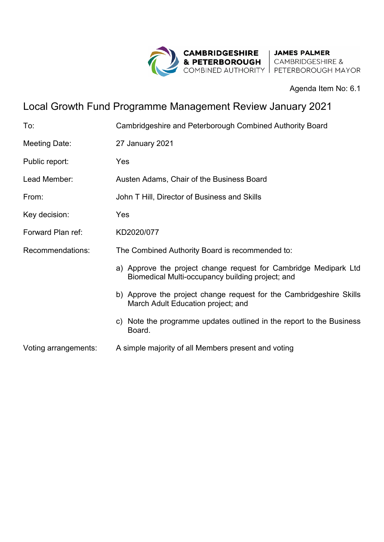

Agenda Item No: 6.1

## Local Growth Fund Programme Management Review January 2021

| To:                  | Cambridgeshire and Peterborough Combined Authority Board                                                             |
|----------------------|----------------------------------------------------------------------------------------------------------------------|
| Meeting Date:        | 27 January 2021                                                                                                      |
| Public report:       | Yes                                                                                                                  |
| Lead Member:         | Austen Adams, Chair of the Business Board                                                                            |
| From:                | John T Hill, Director of Business and Skills                                                                         |
| Key decision:        | Yes                                                                                                                  |
| Forward Plan ref:    | KD2020/077                                                                                                           |
| Recommendations:     | The Combined Authority Board is recommended to:                                                                      |
|                      | a) Approve the project change request for Cambridge Medipark Ltd<br>Biomedical Multi-occupancy building project; and |
|                      | b) Approve the project change request for the Cambridgeshire Skills<br>March Adult Education project; and            |
|                      | c) Note the programme updates outlined in the report to the Business<br>Board.                                       |
| Voting arrangements: | A simple majority of all Members present and voting                                                                  |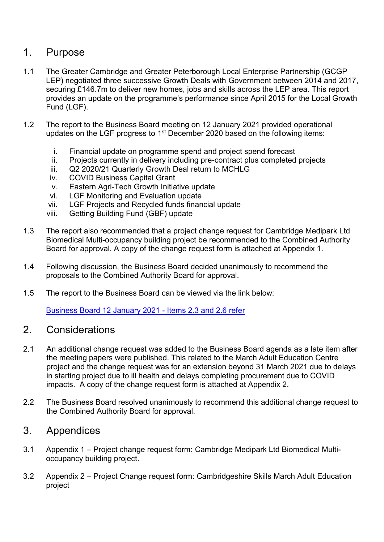## 1. Purpose

- 1.1 The Greater Cambridge and Greater Peterborough Local Enterprise Partnership (GCGP LEP) negotiated three successive Growth Deals with Government between 2014 and 2017, securing £146.7m to deliver new homes, jobs and skills across the LEP area. This report provides an update on the programme's performance since April 2015 for the Local Growth Fund (LGF).
- 1.2 The report to the Business Board meeting on 12 January 2021 provided operational updates on the LGF progress to 1st December 2020 based on the following items:
	- i. Financial update on programme spend and project spend forecast
	- ii. Projects currently in delivery including pre-contract plus completed projects
	- iii. Q2 2020/21 Quarterly Growth Deal return to MCHLG
	- iv. COVID Business Capital Grant
	- v. Eastern Agri-Tech Growth Initiative update
	- vi. LGF Monitoring and Evaluation update
	- vii. LGF Projects and Recycled funds financial update
	- viii. Getting Building Fund (GBF) update
- 1.3 The report also recommended that a project change request for Cambridge Medipark Ltd Biomedical Multi-occupancy building project be recommended to the Combined Authority Board for approval. A copy of the change request form is attached at Appendix 1.
- 1.4 Following discussion, the Business Board decided unanimously to recommend the proposals to the Combined Authority Board for approval.
- 1.5 The report to the Business Board can be viewed via the link below:

[Business Board 12 January 2021 - Items 2.3 and 2.6 refer](https://cambridgeshirepeterboroughcagov.cmis.uk.com/Meetings/tabid/70/ctl/ViewMeetingPublic/mid/397/Meeting/2001/Committee/69/SelectedTab/Documents/Default.aspx)

## 2. Considerations

- 2.1 An additional change request was added to the Business Board agenda as a late item after the meeting papers were published. This related to the March Adult Education Centre project and the change request was for an extension beyond 31 March 2021 due to delays in starting project due to ill health and delays completing procurement due to COVID impacts. A copy of the change request form is attached at Appendix 2.
- 2.2 The Business Board resolved unanimously to recommend this additional change request to the Combined Authority Board for approval.

## 3. Appendices

- 3.1 Appendix 1 Project change request form: Cambridge Medipark Ltd Biomedical Multioccupancy building project.
- 3.2 Appendix 2 Project Change request form: Cambridgeshire Skills March Adult Education project